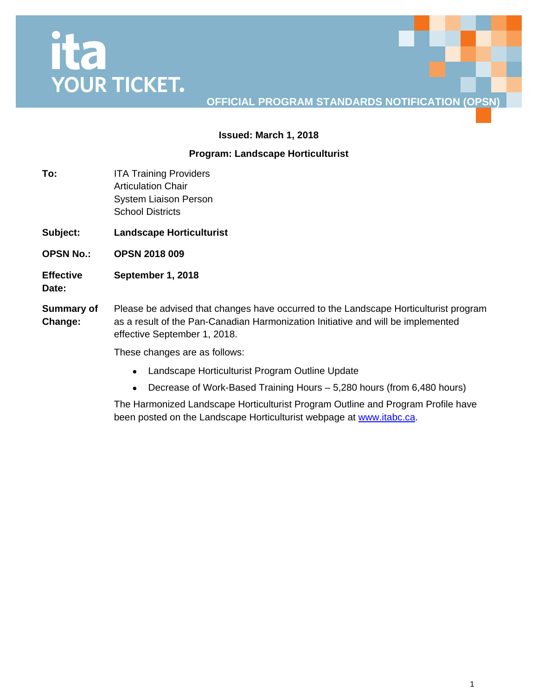# **Ita**<br>YOUR TICKET.

## **OFFICIAL PROGRAM STANDARDS NOTIFICATION (OPSN)**

#### **Issued: March 1, 2018**

#### **Program: Landscape Horticulturist**

- **To:** ITA Training Providers Articulation Chair System Liaison Person School Districts
- **Subject: Landscape Horticulturist**
- **OPSN No.: OPSN 2018 009**
- **Effective September 1, 2018**
- **Date:**
- **Summary of Change:** Please be advised that changes have occurred to the Landscape Horticulturist program as a result of the Pan-Canadian Harmonization Initiative and will be implemented effective September 1, 2018.

These changes are as follows:

- Landscape Horticulturist Program Outline Update
- Decrease of Work-Based Training Hours 5,280 hours (from 6,480 hours)

The Harmonized Landscape Horticulturist Program Outline and Program Profile have been posted on the Landscape Horticulturist webpage at [www.itabc.ca.](http://www.itabc.ca/)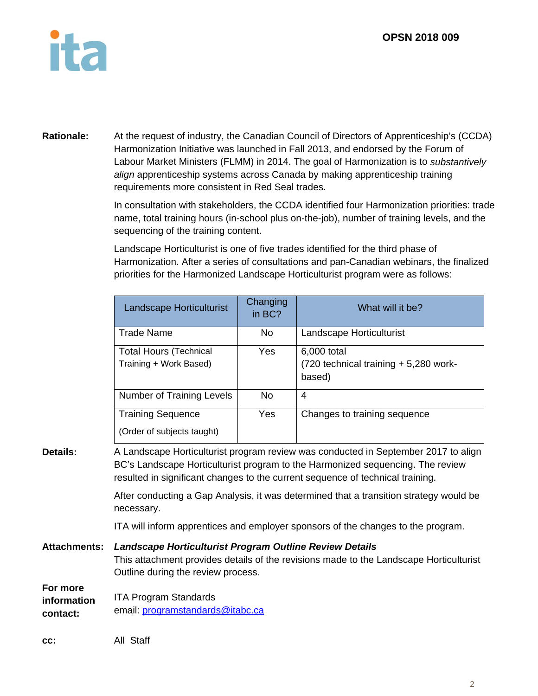

**Rationale:** At the request of industry, the Canadian Council of Directors of Apprenticeship's (CCDA) Harmonization Initiative was launched in Fall 2013, and endorsed by the Forum of Labour Market Ministers (FLMM) in 2014. The goal of Harmonization is to *substantively align* apprenticeship systems across Canada by making apprenticeship training requirements more consistent in Red Seal trades.

> In consultation with stakeholders, the CCDA identified four Harmonization priorities: trade name, total training hours (in-school plus on-the-job), number of training levels, and the sequencing of the training content.

Landscape Horticulturist is one of five trades identified for the third phase of Harmonization. After a series of consultations and pan-Canadian webinars, the finalized priorities for the Harmonized Landscape Horticulturist program were as follows:

|                                     | Landscape Horticulturist                                                                      | Changing<br>in BC? | What will it be?                                                                                                                                                                                                                                       |
|-------------------------------------|-----------------------------------------------------------------------------------------------|--------------------|--------------------------------------------------------------------------------------------------------------------------------------------------------------------------------------------------------------------------------------------------------|
|                                     | <b>Trade Name</b>                                                                             | No                 | Landscape Horticulturist                                                                                                                                                                                                                               |
|                                     | <b>Total Hours (Technical</b><br>Training + Work Based)                                       | Yes                | 6,000 total<br>(720 technical training + 5,280 work-<br>based)                                                                                                                                                                                         |
|                                     | <b>Number of Training Levels</b>                                                              | <b>No</b>          | $\overline{4}$                                                                                                                                                                                                                                         |
|                                     | <b>Training Sequence</b><br>(Order of subjects taught)                                        | Yes                | Changes to training sequence                                                                                                                                                                                                                           |
| <b>Details:</b>                     |                                                                                               |                    | A Landscape Horticulturist program review was conducted in September 2017 to align<br>BC's Landscape Horticulturist program to the Harmonized sequencing. The review<br>resulted in significant changes to the current sequence of technical training. |
|                                     | necessary.                                                                                    |                    | After conducting a Gap Analysis, it was determined that a transition strategy would be                                                                                                                                                                 |
|                                     |                                                                                               |                    | ITA will inform apprentices and employer sponsors of the changes to the program.                                                                                                                                                                       |
| <b>Attachments:</b>                 | Landscape Horticulturist Program Outline Review Details<br>Outline during the review process. |                    | This attachment provides details of the revisions made to the Landscape Horticulturist                                                                                                                                                                 |
| For more<br>information<br>contact: | <b>ITA Program Standards</b><br>email: programstandards@itabc.ca                              |                    |                                                                                                                                                                                                                                                        |
| CC:                                 | All Staff                                                                                     |                    |                                                                                                                                                                                                                                                        |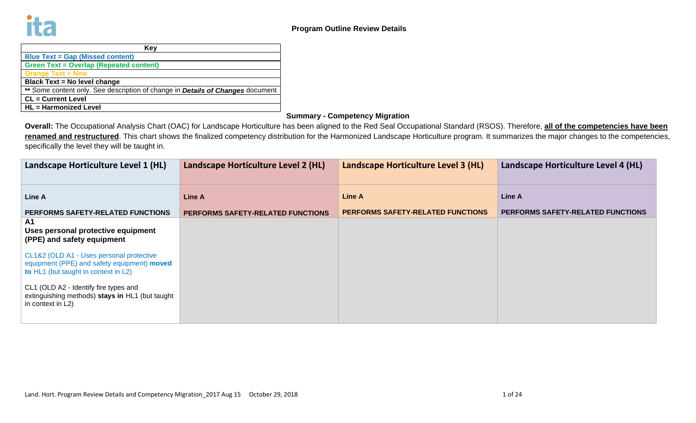| Key                                                                                   |
|---------------------------------------------------------------------------------------|
| <b>Blue Text = Gap (Missed content)</b>                                               |
| <b>Green Text = Overlap (Repeated content)</b>                                        |
| <b>Orange Text = New</b>                                                              |
| <b>Black Text = No level change</b>                                                   |
| ** Some content only. See description of change in <b>Details of Changes</b> document |
| <b>CL</b> = Current Level                                                             |
| <b>HL</b> = Harmonized Level                                                          |

## **Summary - Competency Migration**

**Overall:** The Occupational Analysis Chart (OAC) for Landscape Horticulture has been aligned to the Red Seal Occupational Standard (RSOS). Therefore, **all of the competencies have been**  renamed and restructured. This chart shows the finalized competency distribution for the Harmonized Landscape Horticulture program. It summarizes the major changes to the competencies, specifically the level they will be taught in.

| Landscape Horticulture Level 1 (HL)                                                                                             | Landscape Horticulture Level 2 (HL)      | Landscape Horticulture Level 3 (HL)      | Landscape Horticulture Level 4 (HL) |
|---------------------------------------------------------------------------------------------------------------------------------|------------------------------------------|------------------------------------------|-------------------------------------|
| Line A                                                                                                                          | Line A                                   | <b>Line A</b>                            | Line A                              |
| PERFORMS SAFETY-RELATED FUNCTIONS                                                                                               | <b>PERFORMS SAFETY-RELATED FUNCTIONS</b> | <b>PERFORMS SAFETY-RELATED FUNCTIONS</b> | PERFORMS SAFETY-RELATED FUNCTIONS   |
| A1<br>Uses personal protective equipment<br>(PPE) and safety equipment                                                          |                                          |                                          |                                     |
| CL1&2 (OLD A1 - Uses personal protective<br>equipment (PPE) and safety equipment) moved<br>to HL1 (but taught in context in L2) |                                          |                                          |                                     |
| CL1 (OLD A2 - Identify fire types and<br>extinguishing methods) stays in HL1 (but taught<br>in context in L2)                   |                                          |                                          |                                     |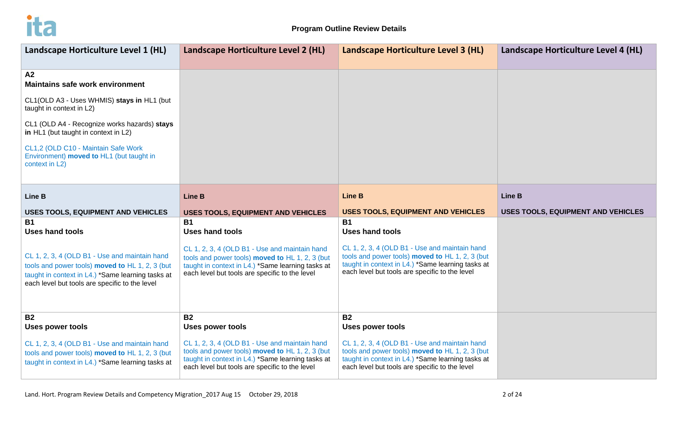

| Landscape Horticulture Level 1 (HL)                                                                                                                                                                                                                                                                                 | Landscape Horticulture Level 2 (HL)                                                                                                                                                                     | Landscape Horticulture Level 3 (HL)                                                                                                                                                                     | Landscape Horticulture Level 4 (HL)       |
|---------------------------------------------------------------------------------------------------------------------------------------------------------------------------------------------------------------------------------------------------------------------------------------------------------------------|---------------------------------------------------------------------------------------------------------------------------------------------------------------------------------------------------------|---------------------------------------------------------------------------------------------------------------------------------------------------------------------------------------------------------|-------------------------------------------|
| A2<br><b>Maintains safe work environment</b><br>CL1(OLD A3 - Uses WHMIS) stays in HL1 (but<br>taught in context in L2)<br>CL1 (OLD A4 - Recognize works hazards) stays<br>in HL1 (but taught in context in L2)<br>CL1,2 (OLD C10 - Maintain Safe Work<br>Environment) moved to HL1 (but taught in<br>context in L2) |                                                                                                                                                                                                         |                                                                                                                                                                                                         |                                           |
| <b>Line B</b>                                                                                                                                                                                                                                                                                                       | <b>Line B</b>                                                                                                                                                                                           | <b>Line B</b>                                                                                                                                                                                           | <b>Line B</b>                             |
| <b>USES TOOLS, EQUIPMENT AND VEHICLES</b>                                                                                                                                                                                                                                                                           | <b>USES TOOLS, EQUIPMENT AND VEHICLES</b>                                                                                                                                                               | <b>USES TOOLS, EQUIPMENT AND VEHICLES</b>                                                                                                                                                               | <b>USES TOOLS, EQUIPMENT AND VEHICLES</b> |
| <b>B1</b>                                                                                                                                                                                                                                                                                                           | <b>B1</b>                                                                                                                                                                                               | <b>B1</b>                                                                                                                                                                                               |                                           |
| <b>Uses hand tools</b>                                                                                                                                                                                                                                                                                              | <b>Uses hand tools</b>                                                                                                                                                                                  | <b>Uses hand tools</b>                                                                                                                                                                                  |                                           |
| CL 1, 2, 3, 4 (OLD B1 - Use and maintain hand                                                                                                                                                                                                                                                                       | CL 1, 2, 3, 4 (OLD B1 - Use and maintain hand                                                                                                                                                           | CL 1, 2, 3, 4 (OLD B1 - Use and maintain hand                                                                                                                                                           |                                           |
| tools and power tools) moved to HL 1, 2, 3 (but                                                                                                                                                                                                                                                                     | tools and power tools) moved to HL 1, 2, 3 (but                                                                                                                                                         | tools and power tools) moved to HL 1, 2, 3 (but                                                                                                                                                         |                                           |
| taught in context in L4.) *Same learning tasks at                                                                                                                                                                                                                                                                   | taught in context in L4.) *Same learning tasks at                                                                                                                                                       | taught in context in L4.) *Same learning tasks at                                                                                                                                                       |                                           |
| each level but tools are specific to the level                                                                                                                                                                                                                                                                      | each level but tools are specific to the level                                                                                                                                                          | each level but tools are specific to the level                                                                                                                                                          |                                           |
| <b>B2</b>                                                                                                                                                                                                                                                                                                           | <b>B2</b>                                                                                                                                                                                               | <b>B2</b>                                                                                                                                                                                               |                                           |
| <b>Uses power tools</b>                                                                                                                                                                                                                                                                                             | <b>Uses power tools</b>                                                                                                                                                                                 | <b>Uses power tools</b>                                                                                                                                                                                 |                                           |
| CL 1, 2, 3, 4 (OLD B1 - Use and maintain hand<br>tools and power tools) moved to HL 1, 2, 3 (but<br>taught in context in L4.) *Same learning tasks at                                                                                                                                                               | CL 1, 2, 3, 4 (OLD B1 - Use and maintain hand<br>tools and power tools) moved to HL 1, 2, 3 (but<br>taught in context in L4.) *Same learning tasks at<br>each level but tools are specific to the level | CL 1, 2, 3, 4 (OLD B1 - Use and maintain hand<br>tools and power tools) moved to HL 1, 2, 3 (but<br>taught in context in L4.) *Same learning tasks at<br>each level but tools are specific to the level |                                           |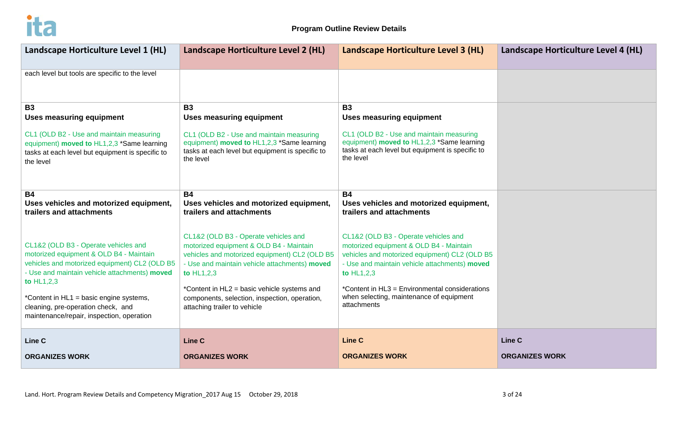

| Landscape Horticulture Level 1 (HL)                                                                                                                                                                                                          | Landscape Horticulture Level 2 (HL)                                                                                                                                                                                                                                                             | Landscape Horticulture Level 3 (HL)                                                                                                                                                                                                                                                                          | Landscape Horticulture Level 4 (HL) |
|----------------------------------------------------------------------------------------------------------------------------------------------------------------------------------------------------------------------------------------------|-------------------------------------------------------------------------------------------------------------------------------------------------------------------------------------------------------------------------------------------------------------------------------------------------|--------------------------------------------------------------------------------------------------------------------------------------------------------------------------------------------------------------------------------------------------------------------------------------------------------------|-------------------------------------|
| each level but tools are specific to the level                                                                                                                                                                                               |                                                                                                                                                                                                                                                                                                 |                                                                                                                                                                                                                                                                                                              |                                     |
| <b>B3</b><br><b>Uses measuring equipment</b>                                                                                                                                                                                                 | <b>B3</b><br><b>Uses measuring equipment</b>                                                                                                                                                                                                                                                    | <b>B3</b><br><b>Uses measuring equipment</b>                                                                                                                                                                                                                                                                 |                                     |
| CL1 (OLD B2 - Use and maintain measuring<br>equipment) moved to HL1,2,3 *Same learning<br>tasks at each level but equipment is specific to<br>the level                                                                                      | CL1 (OLD B2 - Use and maintain measuring<br>equipment) moved to HL1,2,3 *Same learning<br>tasks at each level but equipment is specific to<br>the level                                                                                                                                         | CL1 (OLD B2 - Use and maintain measuring<br>equipment) moved to HL1,2,3 *Same learning<br>tasks at each level but equipment is specific to<br>the level                                                                                                                                                      |                                     |
| <b>B4</b><br>Uses vehicles and motorized equipment,<br>trailers and attachments                                                                                                                                                              | <b>B4</b><br>Uses vehicles and motorized equipment,<br>trailers and attachments                                                                                                                                                                                                                 | <b>B4</b><br>Uses vehicles and motorized equipment,<br>trailers and attachments                                                                                                                                                                                                                              |                                     |
| CL1&2 (OLD B3 - Operate vehicles and<br>motorized equipment & OLD B4 - Maintain<br>vehicles and motorized equipment) CL2 (OLD B5<br>- Use and maintain vehicle attachments) moved<br>to $HL1,2,3$<br>*Content in HL1 = basic engine systems, | CL1&2 (OLD B3 - Operate vehicles and<br>motorized equipment & OLD B4 - Maintain<br>vehicles and motorized equipment) CL2 (OLD B5<br>- Use and maintain vehicle attachments) moved<br>to HL1,2,3<br>*Content in HL2 = basic vehicle systems and<br>components, selection, inspection, operation, | CL1&2 (OLD B3 - Operate vehicles and<br>motorized equipment & OLD B4 - Maintain<br>vehicles and motorized equipment) CL2 (OLD B5<br>- Use and maintain vehicle attachments) moved<br>to HL1,2,3<br>*Content in HL3 = Environmental considerations<br>when selecting, maintenance of equipment<br>attachments |                                     |
| cleaning, pre-operation check, and<br>maintenance/repair, inspection, operation                                                                                                                                                              | attaching trailer to vehicle                                                                                                                                                                                                                                                                    |                                                                                                                                                                                                                                                                                                              |                                     |
| Line C                                                                                                                                                                                                                                       | Line C                                                                                                                                                                                                                                                                                          | <b>Line C</b>                                                                                                                                                                                                                                                                                                | Line C                              |
| <b>ORGANIZES WORK</b>                                                                                                                                                                                                                        | <b>ORGANIZES WORK</b>                                                                                                                                                                                                                                                                           | <b>ORGANIZES WORK</b>                                                                                                                                                                                                                                                                                        | <b>ORGANIZES WORK</b>               |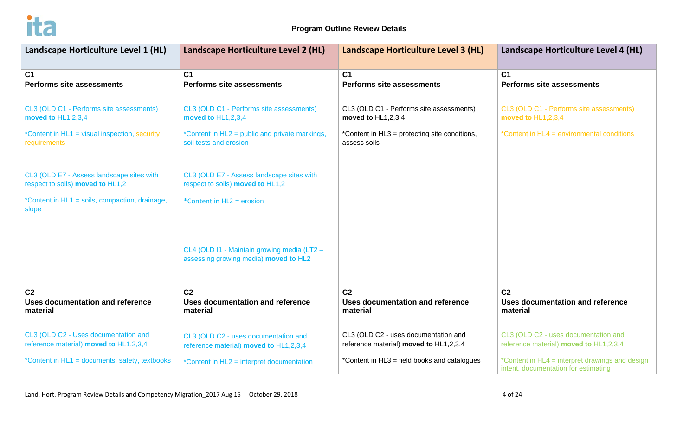

| Landscape Horticulture Level 1 (HL)                                           | Landscape Horticulture Level 2 (HL)                                                  | Landscape Horticulture Level 3 (HL)           | Landscape Horticulture Level 4 (HL)                                                     |
|-------------------------------------------------------------------------------|--------------------------------------------------------------------------------------|-----------------------------------------------|-----------------------------------------------------------------------------------------|
| C <sub>1</sub>                                                                | C <sub>1</sub>                                                                       | C <sub>1</sub>                                | C <sub>1</sub>                                                                          |
| <b>Performs site assessments</b>                                              | <b>Performs site assessments</b>                                                     | <b>Performs site assessments</b>              | <b>Performs site assessments</b>                                                        |
| CL3 (OLD C1 - Performs site assessments)                                      | CL3 (OLD C1 - Performs site assessments)                                             | CL3 (OLD C1 - Performs site assessments)      | CL3 (OLD C1 - Performs site assessments)                                                |
| moved to HL1,2,3,4                                                            | moved to HL1,2,3,4                                                                   | moved to HL1,2,3,4                            | moved to HL1,2,3,4                                                                      |
| *Content in HL1 = visual inspection, security                                 | *Content in HL2 = public and private markings,                                       | *Content in HL3 = protecting site conditions, | *Content in HL4 = environmental conditions                                              |
| requirements                                                                  | soil tests and erosion                                                               | assess soils                                  |                                                                                         |
| CL3 (OLD E7 - Assess landscape sites with<br>respect to soils) moved to HL1,2 | CL3 (OLD E7 - Assess landscape sites with<br>respect to soils) moved to HL1,2        |                                               |                                                                                         |
| *Content in HL1 = soils, compaction, drainage,<br>slope                       | *Content in HL2 = erosion                                                            |                                               |                                                                                         |
|                                                                               | CL4 (OLD I1 - Maintain growing media (LT2 -<br>assessing growing media) moved to HL2 |                                               |                                                                                         |
| C <sub>2</sub>                                                                | C <sub>2</sub>                                                                       | C <sub>2</sub>                                | C <sub>2</sub>                                                                          |
| Uses documentation and reference                                              | Uses documentation and reference                                                     | Uses documentation and reference              | <b>Uses documentation and reference</b>                                                 |
| material                                                                      | material                                                                             | material                                      | material                                                                                |
| CL3 (OLD C2 - Uses documentation and                                          | CL3 (OLD C2 - uses documentation and                                                 | CL3 (OLD C2 - uses documentation and          | CL3 (OLD C2 - uses documentation and                                                    |
| reference material) moved to HL1,2,3,4                                        | reference material) moved to HL1,2,3,4                                               | reference material) moved to HL1,2,3,4        | reference material) moved to HL1,2,3,4                                                  |
| *Content in HL1 = documents, safety, textbooks                                | *Content in HL2 = interpret documentation                                            | *Content in HL3 = field books and catalogues  | *Content in HL4 = interpret drawings and design<br>intent, documentation for estimating |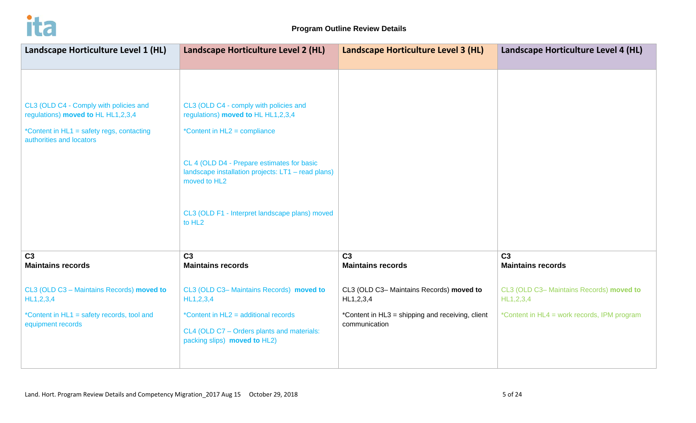

| Landscape Horticulture Level 1 (HL)                                          | Landscape Horticulture Level 2 (HL)                                                                              | Landscape Horticulture Level 3 (HL)                      | Landscape Horticulture Level 4 (HL)                      |
|------------------------------------------------------------------------------|------------------------------------------------------------------------------------------------------------------|----------------------------------------------------------|----------------------------------------------------------|
|                                                                              |                                                                                                                  |                                                          |                                                          |
| CL3 (OLD C4 - Comply with policies and<br>regulations) moved to HL HL1,2,3,4 | CL3 (OLD C4 - comply with policies and<br>regulations) moved to HL HL1,2,3,4                                     |                                                          |                                                          |
| *Content in HL1 = safety regs, contacting<br>authorities and locators        | *Content in HL2 = compliance                                                                                     |                                                          |                                                          |
|                                                                              | CL 4 (OLD D4 - Prepare estimates for basic<br>landscape installation projects: LT1 - read plans)<br>moved to HL2 |                                                          |                                                          |
|                                                                              | CL3 (OLD F1 - Interpret landscape plans) moved<br>to HL <sub>2</sub>                                             |                                                          |                                                          |
| C <sub>3</sub><br><b>Maintains records</b>                                   | C <sub>3</sub><br><b>Maintains records</b>                                                                       | C <sub>3</sub><br><b>Maintains records</b>               | C <sub>3</sub><br><b>Maintains records</b>               |
| CL3 (OLD C3 - Maintains Records) moved to<br>HL1, 2, 3, 4                    | CL3 (OLD C3- Maintains Records) moved to<br>HL1,2,3,4                                                            | CL3 (OLD C3- Maintains Records) moved to<br>HL1, 2, 3, 4 | CL3 (OLD C3- Maintains Records) moved to<br>HL1, 2, 3, 4 |
| *Content in HL1 = safety records, tool and                                   | *Content in HL2 = additional records                                                                             | *Content in HL3 = shipping and receiving, client         | *Content in HL4 = work records, IPM program              |
| equipment records                                                            | CL4 (OLD C7 - Orders plants and materials:<br>packing slips) moved to HL2)                                       | communication                                            |                                                          |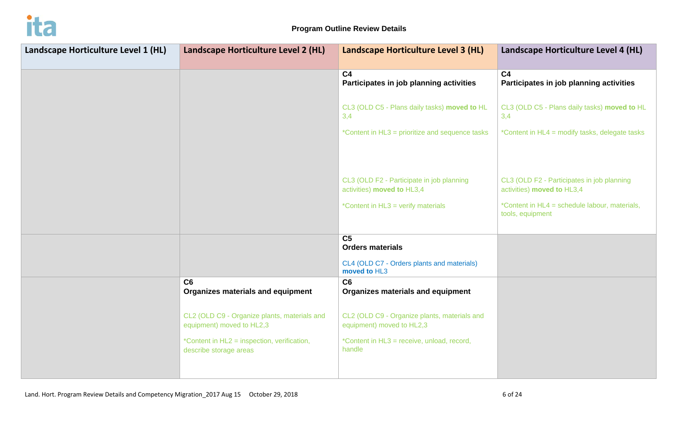

| Landscape Horticulture Level 1 (HL) | Landscape Horticulture Level 2 (HL)                                       | Landscape Horticulture Level 3 (HL)                                       | Landscape Horticulture Level 4 (HL)                                      |
|-------------------------------------|---------------------------------------------------------------------------|---------------------------------------------------------------------------|--------------------------------------------------------------------------|
|                                     |                                                                           | C <sub>4</sub><br>Participates in job planning activities                 | C <sub>4</sub><br>Participates in job planning activities                |
|                                     |                                                                           | CL3 (OLD C5 - Plans daily tasks) moved to HL<br>3,4                       | CL3 (OLD C5 - Plans daily tasks) moved to HL<br>3,4                      |
|                                     |                                                                           | *Content in HL3 = prioritize and sequence tasks                           | *Content in HL4 = modify tasks, delegate tasks                           |
|                                     |                                                                           |                                                                           |                                                                          |
|                                     |                                                                           | CL3 (OLD F2 - Participate in job planning<br>activities) moved to HL3,4   | CL3 (OLD F2 - Participates in job planning<br>activities) moved to HL3,4 |
|                                     |                                                                           | *Content in HL3 = verify materials                                        | *Content in HL4 = schedule labour, materials,<br>tools, equipment        |
|                                     |                                                                           | C <sub>5</sub>                                                            |                                                                          |
|                                     |                                                                           | <b>Orders materials</b>                                                   |                                                                          |
|                                     |                                                                           | CL4 (OLD C7 - Orders plants and materials)<br>moved to HL3                |                                                                          |
|                                     | C6<br><b>Organizes materials and equipment</b>                            | C6<br><b>Organizes materials and equipment</b>                            |                                                                          |
|                                     | CL2 (OLD C9 - Organize plants, materials and<br>equipment) moved to HL2,3 | CL2 (OLD C9 - Organize plants, materials and<br>equipment) moved to HL2,3 |                                                                          |
|                                     | *Content in HL2 = inspection, verification,<br>describe storage areas     | *Content in HL3 = receive, unload, record,<br>handle                      |                                                                          |
|                                     |                                                                           |                                                                           |                                                                          |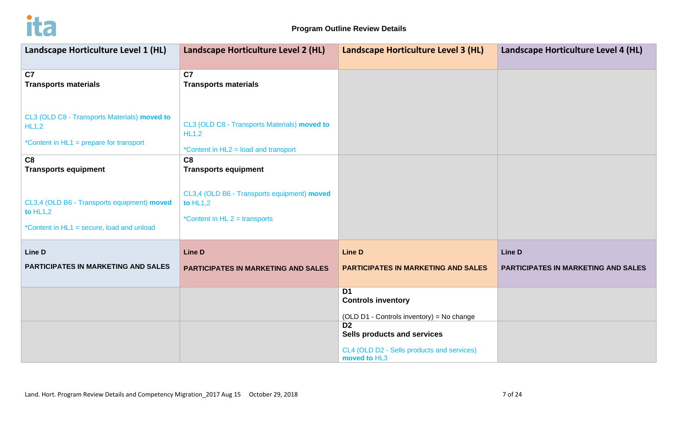

| Landscape Horticulture Level 1 (HL)                                                                    | Landscape Horticulture Level 2 (HL)                                                           | Landscape Horticulture Level 3 (HL)                                                                         | Landscape Horticulture Level 4 (HL) |
|--------------------------------------------------------------------------------------------------------|-----------------------------------------------------------------------------------------------|-------------------------------------------------------------------------------------------------------------|-------------------------------------|
| C7<br><b>Transports materials</b>                                                                      | C <sub>7</sub><br><b>Transports materials</b>                                                 |                                                                                                             |                                     |
| CL3 (OLD C8 - Transports Materials) moved to<br>HL1,2<br>*Content in HL1 = prepare for transport       | CL3 (OLD C8 - Transports Materials) moved to<br>HL1,2<br>*Content in HL2 = load and transport |                                                                                                             |                                     |
| C8<br><b>Transports equipment</b>                                                                      | C8<br><b>Transports equipment</b>                                                             |                                                                                                             |                                     |
| CL3,4 (OLD B6 - Transports equipment) moved<br>to $HL1,2$<br>*Content in HL1 = secure, load and unload | CL3,4 (OLD B6 - Transports equipment) moved<br>to $HL1,2$<br>*Content in HL $2 =$ transports  |                                                                                                             |                                     |
| <b>Line D</b>                                                                                          | <b>Line D</b>                                                                                 | <b>Line D</b>                                                                                               | Line D                              |
| PARTICIPATES IN MARKETING AND SALES                                                                    | <b>PARTICIPATES IN MARKETING AND SALES</b>                                                    | PARTICIPATES IN MARKETING AND SALES                                                                         | PARTICIPATES IN MARKETING AND SALES |
|                                                                                                        |                                                                                               | D <sub>1</sub><br><b>Controls inventory</b><br>(OLD D1 - Controls inventory) = No change                    |                                     |
|                                                                                                        |                                                                                               | D <sub>2</sub><br>Sells products and services<br>CL4 (OLD D2 - Sells products and services)<br>moved to HL3 |                                     |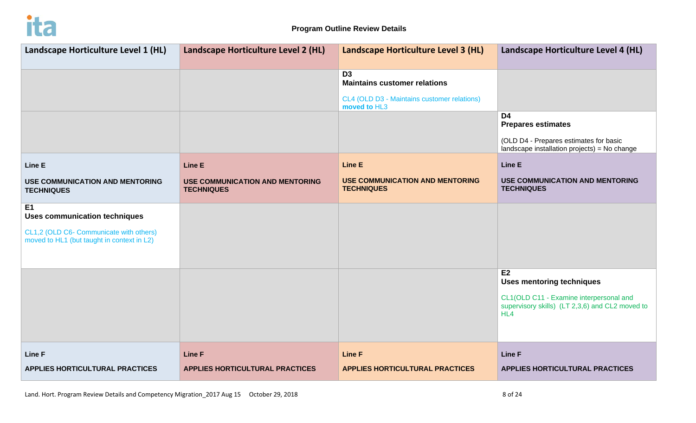

| Landscape Horticulture Level 1 (HL)                                                   | Landscape Horticulture Level 2 (HL)                         | Landscape Horticulture Level 3 (HL)                                                                  | Landscape Horticulture Level 4 (HL)                                                                                                   |
|---------------------------------------------------------------------------------------|-------------------------------------------------------------|------------------------------------------------------------------------------------------------------|---------------------------------------------------------------------------------------------------------------------------------------|
|                                                                                       |                                                             | D <sub>3</sub><br><b>Maintains customer relations</b><br>CL4 (OLD D3 - Maintains customer relations) |                                                                                                                                       |
|                                                                                       |                                                             | moved to HL3                                                                                         | D <sub>4</sub><br><b>Prepares estimates</b><br>(OLD D4 - Prepares estimates for basic<br>landscape installation projects) = No change |
| Line E                                                                                | <b>Line E</b>                                               | <b>Line E</b>                                                                                        | <b>Line E</b>                                                                                                                         |
| <b>USE COMMUNICATION AND MENTORING</b><br><b>TECHNIQUES</b>                           | <b>USE COMMUNICATION AND MENTORING</b><br><b>TECHNIQUES</b> | <b>USE COMMUNICATION AND MENTORING</b><br><b>TECHNIQUES</b>                                          | <b>USE COMMUNICATION AND MENTORING</b><br><b>TECHNIQUES</b>                                                                           |
| E <sub>1</sub><br><b>Uses communication techniques</b>                                |                                                             |                                                                                                      |                                                                                                                                       |
| CL1,2 (OLD C6- Communicate with others)<br>moved to HL1 (but taught in context in L2) |                                                             |                                                                                                      |                                                                                                                                       |
|                                                                                       |                                                             |                                                                                                      | E <sub>2</sub><br><b>Uses mentoring techniques</b>                                                                                    |
|                                                                                       |                                                             |                                                                                                      | CL1(OLD C11 - Examine interpersonal and<br>supervisory skills) (LT 2,3,6) and CL2 moved to<br>HL4                                     |
|                                                                                       |                                                             |                                                                                                      |                                                                                                                                       |
| <b>Line F</b>                                                                         | <b>Line F</b>                                               | <b>Line F</b>                                                                                        | <b>Line F</b>                                                                                                                         |
| <b>APPLIES HORTICULTURAL PRACTICES</b>                                                | <b>APPLIES HORTICULTURAL PRACTICES</b>                      | <b>APPLIES HORTICULTURAL PRACTICES</b>                                                               | <b>APPLIES HORTICULTURAL PRACTICES</b>                                                                                                |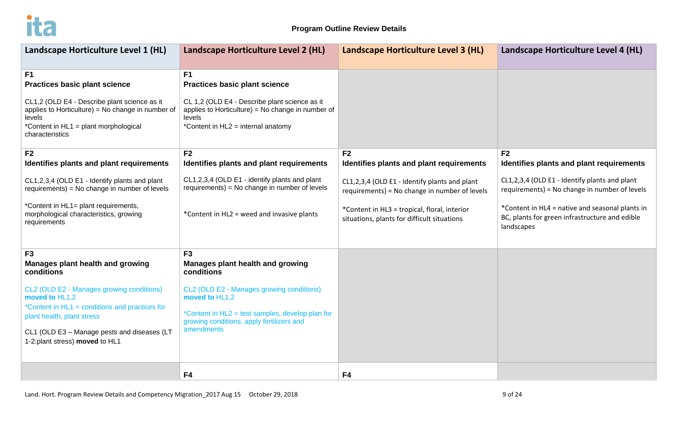

| Landscape Horticulture Level 1 (HL)                                                                                                                                                                                                                                                              | Landscape Horticulture Level 2 (HL)                                                                                                                                                                                                            | Landscape Horticulture Level 3 (HL)                                                                                                                                                           | Landscape Horticulture Level 4 (HL)                                                                                                                                                                               |
|--------------------------------------------------------------------------------------------------------------------------------------------------------------------------------------------------------------------------------------------------------------------------------------------------|------------------------------------------------------------------------------------------------------------------------------------------------------------------------------------------------------------------------------------------------|-----------------------------------------------------------------------------------------------------------------------------------------------------------------------------------------------|-------------------------------------------------------------------------------------------------------------------------------------------------------------------------------------------------------------------|
| F1<br><b>Practices basic plant science</b><br>CL1,2 (OLD E4 - Describe plant science as it<br>applies to Horticulture) = No change in number of<br>levels<br>*Content in HL1 = plant morphological<br>characteristics                                                                            | F <sub>1</sub><br><b>Practices basic plant science</b><br>CL 1,2 (OLD E4 - Describe plant science as it<br>applies to Horticulture) = No change in number of<br>levels<br>*Content in HL2 = internal anatomy                                   |                                                                                                                                                                                               |                                                                                                                                                                                                                   |
| F <sub>2</sub><br>Identifies plants and plant requirements                                                                                                                                                                                                                                       | F <sub>2</sub><br>Identifies plants and plant requirements                                                                                                                                                                                     | F <sub>2</sub><br>Identifies plants and plant requirements                                                                                                                                    | F <sub>2</sub><br>Identifies plants and plant requirements                                                                                                                                                        |
| CL1,2,3,4 (OLD E1 - Identify plants and plant<br>requirements) = No change in number of levels<br>*Content in HL1= plant requirements,<br>morphological characteristics, growing<br>requirements                                                                                                 | CL1,2,3,4 (OLD E1 - identify plants and plant<br>requirements) = No change in number of levels<br>*Content in HL2 = weed and invasive plants                                                                                                   | CL1,2,3,4 (OLD E1 - Identify plants and plant<br>requirements) = No change in number of levels<br>*Content in HL3 = tropical, floral, interior<br>situations, plants for difficult situations | CL1,2,3,4 (OLD E1 - Identify plants and plant<br>requirements) = No change in number of levels<br>*Content in HL4 = native and seasonal plants in<br>BC, plants for green infrastructure and edible<br>landscapes |
| F <sub>3</sub><br>Manages plant health and growing<br>conditions<br>CL2 (OLD E2 - Manages growing conditions)<br>moved to HL1,2<br>*Content in HL1 = conditions and practices for<br>plant health, plant stress<br>CL1 (OLD E3 - Manage pests and diseases (LT<br>1-2:plant stress) moved to HL1 | F <sub>3</sub><br>Manages plant health and growing<br>conditions<br>CL2 (OLD E2 - Manages growing conditions)<br>moved to HL1,2<br>*Content in HL2 = test samples, develop plan for<br>growing conditions, apply fertilizers and<br>amendments |                                                                                                                                                                                               |                                                                                                                                                                                                                   |
|                                                                                                                                                                                                                                                                                                  | F4                                                                                                                                                                                                                                             | F4                                                                                                                                                                                            |                                                                                                                                                                                                                   |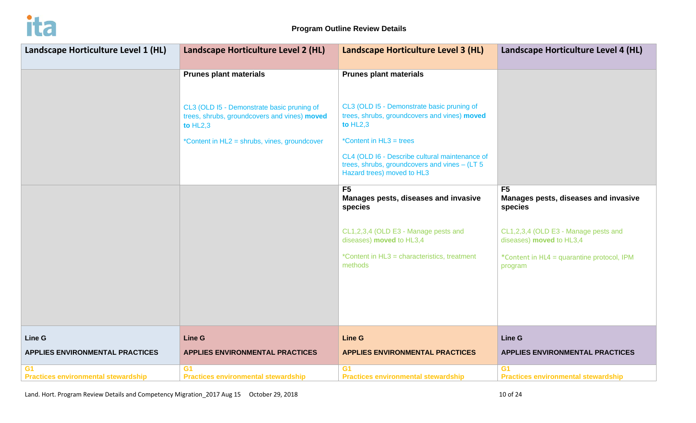

| Landscape Horticulture Level 1 (HL)                          | Landscape Horticulture Level 2 (HL)                                                                      | Landscape Horticulture Level 3 (HL)                                                                                              | Landscape Horticulture Level 4 (HL)                               |
|--------------------------------------------------------------|----------------------------------------------------------------------------------------------------------|----------------------------------------------------------------------------------------------------------------------------------|-------------------------------------------------------------------|
|                                                              | <b>Prunes plant materials</b>                                                                            | <b>Prunes plant materials</b>                                                                                                    |                                                                   |
|                                                              | CL3 (OLD I5 - Demonstrate basic pruning of<br>trees, shrubs, groundcovers and vines) moved<br>to $HL2,3$ | CL3 (OLD I5 - Demonstrate basic pruning of<br>trees, shrubs, groundcovers and vines) moved<br>to $HL2,3$                         |                                                                   |
|                                                              | *Content in HL2 = shrubs, vines, groundcover                                                             | *Content in HL3 = trees                                                                                                          |                                                                   |
|                                                              |                                                                                                          | CL4 (OLD I6 - Describe cultural maintenance of<br>trees, shrubs, groundcovers and vines $-$ (LT 5)<br>Hazard trees) moved to HL3 |                                                                   |
|                                                              |                                                                                                          | F <sub>5</sub><br>Manages pests, diseases and invasive<br>species                                                                | F <sub>5</sub><br>Manages pests, diseases and invasive<br>species |
|                                                              |                                                                                                          | CL1,2,3,4 (OLD E3 - Manage pests and<br>diseases) moved to HL3,4                                                                 | CL1,2,3,4 (OLD E3 - Manage pests and<br>diseases) moved to HL3,4  |
|                                                              |                                                                                                          | *Content in HL3 = characteristics, treatment<br>methods                                                                          | *Content in HL4 = quarantine protocol, IPM<br>program             |
|                                                              |                                                                                                          |                                                                                                                                  |                                                                   |
|                                                              |                                                                                                          |                                                                                                                                  |                                                                   |
| Line G                                                       | <b>Line G</b>                                                                                            | <b>Line G</b>                                                                                                                    | Line G                                                            |
| <b>APPLIES ENVIRONMENTAL PRACTICES</b>                       | <b>APPLIES ENVIRONMENTAL PRACTICES</b>                                                                   | <b>APPLIES ENVIRONMENTAL PRACTICES</b>                                                                                           | <b>APPLIES ENVIRONMENTAL PRACTICES</b>                            |
| G <sub>1</sub><br><b>Practices environmental stewardship</b> | G <sub>1</sub><br><b>Practices environmental stewardship</b>                                             | G <sub>1</sub><br><b>Practices environmental stewardship</b>                                                                     | G <sub>1</sub><br><b>Practices environmental stewardship</b>      |

Land. Hort. Program Review Details and Competency Migration\_2017 Aug 15 October 29, 2018 10 and 10 Details and Competency Migration\_2017 Aug 15 October 29, 2018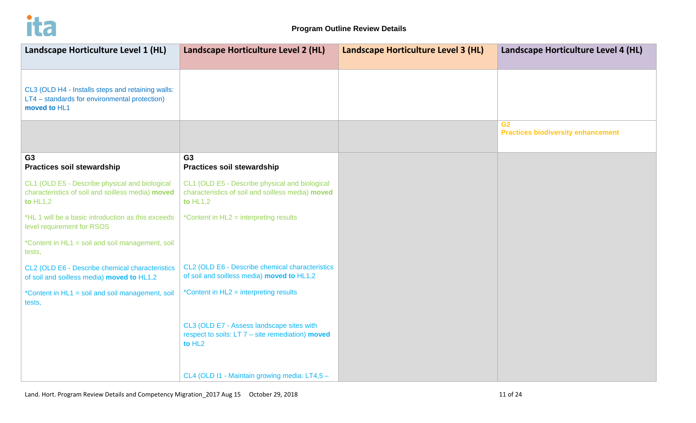

| Landscape Horticulture Level 1 (HL)                                                                                | Landscape Horticulture Level 2 (HL)                                                                                   | Landscape Horticulture Level 3 (HL) | Landscape Horticulture Level 4 (HL)                         |
|--------------------------------------------------------------------------------------------------------------------|-----------------------------------------------------------------------------------------------------------------------|-------------------------------------|-------------------------------------------------------------|
|                                                                                                                    |                                                                                                                       |                                     |                                                             |
| CL3 (OLD H4 - Installs steps and retaining walls:<br>LT4 - standards for environmental protection)<br>moved to HL1 |                                                                                                                       |                                     |                                                             |
|                                                                                                                    |                                                                                                                       |                                     | G <sub>2</sub><br><b>Practices biodiversity enhancement</b> |
| G <sub>3</sub><br><b>Practices soil stewardship</b>                                                                | G <sub>3</sub><br><b>Practices soil stewardship</b>                                                                   |                                     |                                                             |
| CL1 (OLD E5 - Describe physical and biological<br>characteristics of soil and soilless media) moved<br>to $HL1,2$  | CL1 (OLD E5 - Describe physical and biological<br>characteristics of soil and soilless media) moved<br>to $HL1,2$     |                                     |                                                             |
| *HL 1 will be a basic introduction as this exceeds<br>level requirement for RSOS                                   | *Content in HL2 = interpreting results                                                                                |                                     |                                                             |
| *Content in HL1 = soil and soil management, soil<br>tests,                                                         |                                                                                                                       |                                     |                                                             |
| CL2 (OLD E6 - Describe chemical characteristics<br>of soil and soilless media) moved to HL1,2                      | CL2 (OLD E6 - Describe chemical characteristics<br>of soil and soilless media) moved to HL1,2                         |                                     |                                                             |
| *Content in HL1 = soil and soil management, soil<br>tests,                                                         | *Content in HL2 = interpreting results                                                                                |                                     |                                                             |
|                                                                                                                    | CL3 (OLD E7 - Assess landscape sites with<br>respect to soils: $LT 7 - site$ remediation) moved<br>to HL <sub>2</sub> |                                     |                                                             |
|                                                                                                                    | CL4 (OLD I1 - Maintain growing media: LT4,5 -                                                                         |                                     |                                                             |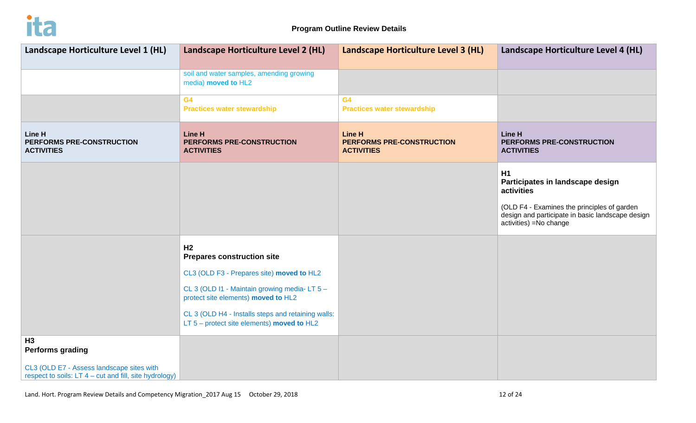

| Landscape Horticulture Level 1 (HL)                                                                 | Landscape Horticulture Level 2 (HL)                                                                | Landscape Horticulture Level 3 (HL)                             | Landscape Horticulture Level 4 (HL)                                                                                                                                               |  |
|-----------------------------------------------------------------------------------------------------|----------------------------------------------------------------------------------------------------|-----------------------------------------------------------------|-----------------------------------------------------------------------------------------------------------------------------------------------------------------------------------|--|
|                                                                                                     | soil and water samples, amending growing<br>media) moved to HL2                                    |                                                                 |                                                                                                                                                                                   |  |
|                                                                                                     | G <sub>4</sub><br><b>Practices water stewardship</b>                                               | G <sub>4</sub><br><b>Practices water stewardship</b>            |                                                                                                                                                                                   |  |
| <b>Line H</b><br>PERFORMS PRE-CONSTRUCTION<br><b>ACTIVITIES</b>                                     | <b>Line H</b><br>PERFORMS PRE-CONSTRUCTION<br><b>ACTIVITIES</b>                                    | <b>Line H</b><br>PERFORMS PRE-CONSTRUCTION<br><b>ACTIVITIES</b> | Line H<br>PERFORMS PRE-CONSTRUCTION<br><b>ACTIVITIES</b>                                                                                                                          |  |
|                                                                                                     |                                                                                                    |                                                                 | H1<br>Participates in landscape design<br>activities<br>(OLD F4 - Examines the principles of garden<br>design and participate in basic landscape design<br>activities) =No change |  |
|                                                                                                     | H <sub>2</sub><br><b>Prepares construction site</b>                                                |                                                                 |                                                                                                                                                                                   |  |
|                                                                                                     | CL3 (OLD F3 - Prepares site) moved to HL2                                                          |                                                                 |                                                                                                                                                                                   |  |
|                                                                                                     | CL 3 (OLD I1 - Maintain growing media-LT 5 -<br>protect site elements) moved to HL2                |                                                                 |                                                                                                                                                                                   |  |
|                                                                                                     | CL 3 (OLD H4 - Installs steps and retaining walls:<br>LT $5$ – protect site elements) moved to HL2 |                                                                 |                                                                                                                                                                                   |  |
| H <sub>3</sub><br><b>Performs grading</b>                                                           |                                                                                                    |                                                                 |                                                                                                                                                                                   |  |
| CL3 (OLD E7 - Assess landscape sites with<br>respect to soils: LT 4 – cut and fill, site hydrology) |                                                                                                    |                                                                 |                                                                                                                                                                                   |  |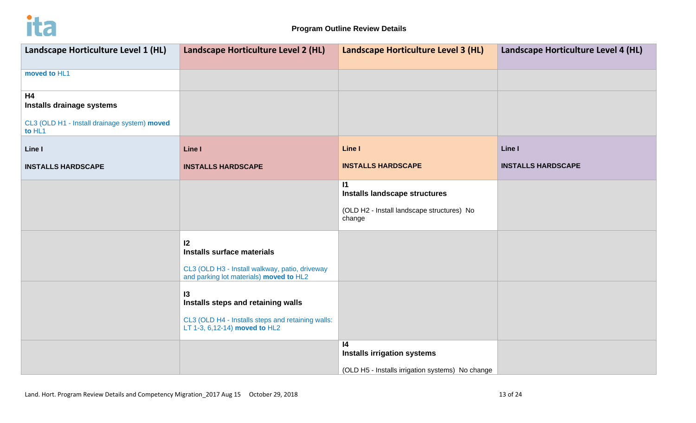

| Landscape Horticulture Level 1 (HL)                    | Landscape Horticulture Level 2 (HL)                                                       | Landscape Horticulture Level 3 (HL)                  | Landscape Horticulture Level 4 (HL) |
|--------------------------------------------------------|-------------------------------------------------------------------------------------------|------------------------------------------------------|-------------------------------------|
|                                                        |                                                                                           |                                                      |                                     |
| moved to HL1                                           |                                                                                           |                                                      |                                     |
| <b>H4</b>                                              |                                                                                           |                                                      |                                     |
| Installs drainage systems                              |                                                                                           |                                                      |                                     |
| CL3 (OLD H1 - Install drainage system) moved<br>to HL1 |                                                                                           |                                                      |                                     |
| Line I                                                 | Line I                                                                                    | Line I                                               | Line I                              |
| <b>INSTALLS HARDSCAPE</b>                              | <b>INSTALLS HARDSCAPE</b>                                                                 | <b>INSTALLS HARDSCAPE</b>                            | <b>INSTALLS HARDSCAPE</b>           |
|                                                        |                                                                                           | $\mathbf{I}$<br>Installs landscape structures        |                                     |
|                                                        |                                                                                           |                                                      |                                     |
|                                                        |                                                                                           | (OLD H2 - Install landscape structures) No<br>change |                                     |
|                                                        | 12                                                                                        |                                                      |                                     |
|                                                        | <b>Installs surface materials</b>                                                         |                                                      |                                     |
|                                                        | CL3 (OLD H3 - Install walkway, patio, driveway<br>and parking lot materials) moved to HL2 |                                                      |                                     |
|                                                        |                                                                                           |                                                      |                                     |
|                                                        | $\overline{3}$<br>Installs steps and retaining walls                                      |                                                      |                                     |
|                                                        |                                                                                           |                                                      |                                     |
|                                                        | CL3 (OLD H4 - Installs steps and retaining walls:<br>LT 1-3, 6,12-14) moved to HL2        |                                                      |                                     |
|                                                        |                                                                                           | $\mathsf{I}4$<br><b>Installs irrigation systems</b>  |                                     |
|                                                        |                                                                                           | (OLD H5 - Installs irrigation systems) No change     |                                     |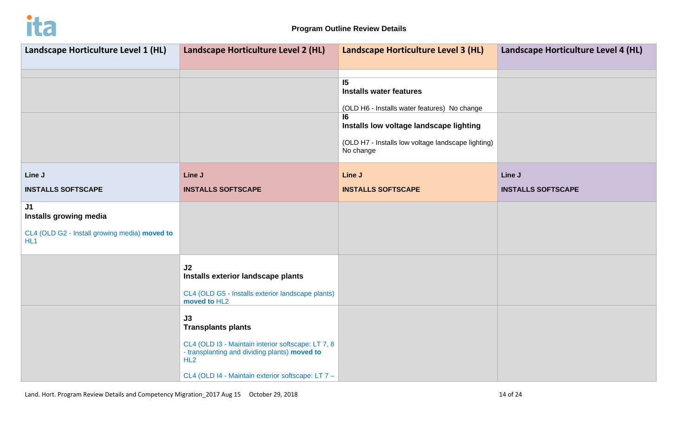

| Landscape Horticulture Level 1 (HL)                              | Landscape Horticulture Level 2 (HL)                                                                        | Landscape Horticulture Level 3 (HL)                                                  | Landscape Horticulture Level 4 (HL) |
|------------------------------------------------------------------|------------------------------------------------------------------------------------------------------------|--------------------------------------------------------------------------------------|-------------------------------------|
|                                                                  |                                                                                                            |                                                                                      |                                     |
|                                                                  |                                                                                                            | 15<br><b>Installs water features</b><br>(OLD H6 - Installs water features) No change |                                     |
|                                                                  |                                                                                                            | 16<br>Installs low voltage landscape lighting                                        |                                     |
|                                                                  |                                                                                                            | (OLD H7 - Installs low voltage landscape lighting)<br>No change                      |                                     |
| Line J                                                           | Line J                                                                                                     | Line J                                                                               | Line J                              |
| <b>INSTALLS SOFTSCAPE</b>                                        | <b>INSTALLS SOFTSCAPE</b>                                                                                  | <b>INSTALLS SOFTSCAPE</b>                                                            | <b>INSTALLS SOFTSCAPE</b>           |
| J1<br>Installs growing media                                     |                                                                                                            |                                                                                      |                                     |
| CL4 (OLD G2 - Install growing media) moved to<br>HL <sub>1</sub> |                                                                                                            |                                                                                      |                                     |
|                                                                  | J2<br>Installs exterior landscape plants                                                                   |                                                                                      |                                     |
|                                                                  | CL4 (OLD G5 - Installs exterior landscape plants)<br>moved to HL2                                          |                                                                                      |                                     |
|                                                                  | J3<br><b>Transplants plants</b>                                                                            |                                                                                      |                                     |
|                                                                  | CL4 (OLD I3 - Maintain interior softscape: LT 7, 8<br>- transplanting and dividing plants) moved to<br>HL2 |                                                                                      |                                     |
|                                                                  | CL4 (OLD I4 - Maintain exterior softscape: LT 7 -                                                          |                                                                                      |                                     |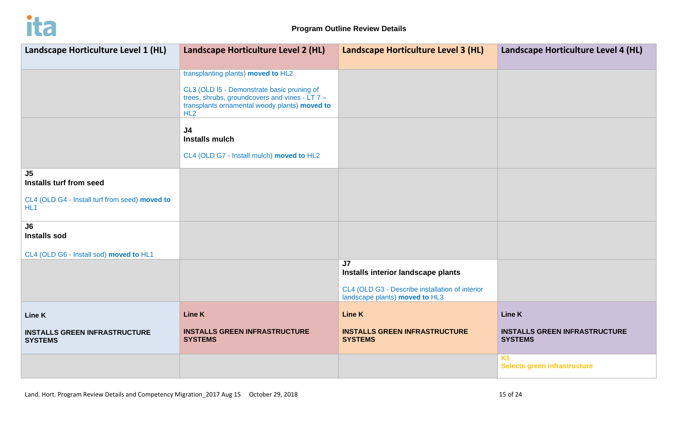

| Landscape Horticulture Level 1 (HL)                               | Landscape Horticulture Level 2 (HL)                                                                                                                    | Landscape Horticulture Level 3 (HL)                                               | Landscape Horticulture Level 4 (HL)                    |
|-------------------------------------------------------------------|--------------------------------------------------------------------------------------------------------------------------------------------------------|-----------------------------------------------------------------------------------|--------------------------------------------------------|
|                                                                   | transplanting plants) moved to HL2                                                                                                                     |                                                                                   |                                                        |
|                                                                   | CL3 (OLD I5 - Demonstrate basic pruning of<br>trees, shrubs, groundcovers and vines - $LT 7 -$<br>transplants ornamental woody plants) moved to<br>HL2 |                                                                                   |                                                        |
|                                                                   | J <sub>4</sub><br><b>Installs mulch</b>                                                                                                                |                                                                                   |                                                        |
|                                                                   | CL4 (OLD G7 - Install mulch) moved to HL2                                                                                                              |                                                                                   |                                                        |
| J5<br>Installs turf from seed                                     |                                                                                                                                                        |                                                                                   |                                                        |
| CL4 (OLD G4 - Install turf from seed) moved to<br>HL <sub>1</sub> |                                                                                                                                                        |                                                                                   |                                                        |
| J6<br><b>Installs sod</b>                                         |                                                                                                                                                        |                                                                                   |                                                        |
| CL4 (OLD G6 - Install sod) moved to HL1                           |                                                                                                                                                        |                                                                                   |                                                        |
|                                                                   |                                                                                                                                                        | J <sub>7</sub><br>Installs interior landscape plants                              |                                                        |
|                                                                   |                                                                                                                                                        | CL4 (OLD G3 - Describe installation of interior<br>landscape plants) moved to HL3 |                                                        |
| Line K                                                            | <b>Line K</b>                                                                                                                                          | <b>Line K</b>                                                                     | Line K                                                 |
| <b>INSTALLS GREEN INFRASTRUCTURE</b><br><b>SYSTEMS</b>            | <b>INSTALLS GREEN INFRASTRUCTURE</b><br><b>SYSTEMS</b>                                                                                                 | <b>INSTALLS GREEN INFRASTRUCTURE</b><br><b>SYSTEMS</b>                            | <b>INSTALLS GREEN INFRASTRUCTURE</b><br><b>SYSTEMS</b> |
|                                                                   |                                                                                                                                                        |                                                                                   | <b>K1</b><br>Selects green infrastructure              |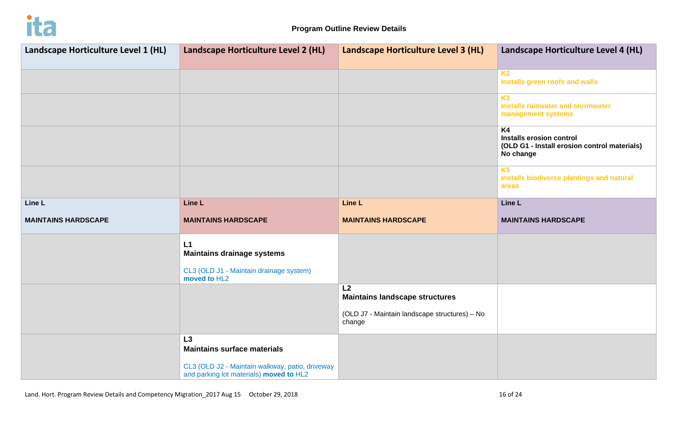

| Landscape Horticulture Level 1 (HL) | Landscape Horticulture Level 2 (HL)                                                                                                    | Landscape Horticulture Level 3 (HL)                                                                    | Landscape Horticulture Level 4 (HL)                                                                     |  |
|-------------------------------------|----------------------------------------------------------------------------------------------------------------------------------------|--------------------------------------------------------------------------------------------------------|---------------------------------------------------------------------------------------------------------|--|
|                                     |                                                                                                                                        |                                                                                                        |                                                                                                         |  |
|                                     |                                                                                                                                        |                                                                                                        | <b>K2</b><br>Installs green roofs and walls                                                             |  |
|                                     |                                                                                                                                        |                                                                                                        | K <sub>3</sub><br><b>Installs rainwater and stormwater</b><br>management systems                        |  |
|                                     |                                                                                                                                        |                                                                                                        | K <sub>4</sub><br>Installs erosion control<br>(OLD G1 - Install erosion control materials)<br>No change |  |
|                                     |                                                                                                                                        |                                                                                                        | <b>K5</b><br>Installs biodiverse plantings and natural<br>areas                                         |  |
| Line L                              | Line L                                                                                                                                 | Line L                                                                                                 | Line L                                                                                                  |  |
| <b>MAINTAINS HARDSCAPE</b>          | <b>MAINTAINS HARDSCAPE</b>                                                                                                             | <b>MAINTAINS HARDSCAPE</b>                                                                             | <b>MAINTAINS HARDSCAPE</b>                                                                              |  |
|                                     | L1<br><b>Maintains drainage systems</b><br>CL3 (OLD J1 - Maintain drainage system)<br>moved to HL2                                     |                                                                                                        |                                                                                                         |  |
|                                     |                                                                                                                                        | L2<br><b>Maintains landscape structures</b><br>(OLD J7 - Maintain landscape structures) - No<br>change |                                                                                                         |  |
|                                     | L3<br><b>Maintains surface materials</b><br>CL3 (OLD J2 - Maintain walkway, patio, driveway<br>and parking lot materials) moved to HL2 |                                                                                                        |                                                                                                         |  |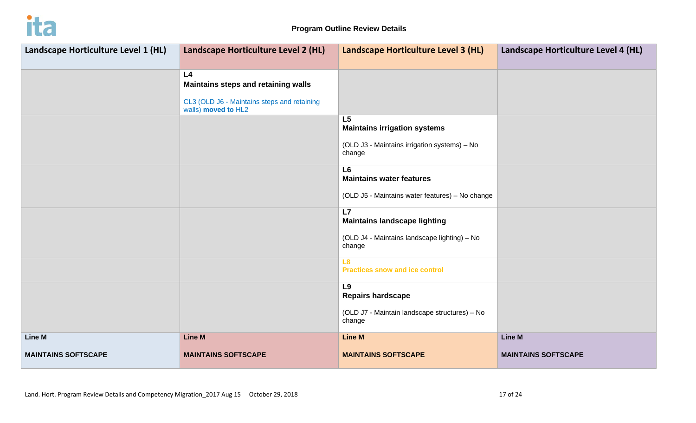

| Landscape Horticulture Level 1 (HL) | Landscape Horticulture Level 2 (HL)                                                                             | Landscape Horticulture Level 3 (HL)                                                                             | Landscape Horticulture Level 4 (HL) |  |
|-------------------------------------|-----------------------------------------------------------------------------------------------------------------|-----------------------------------------------------------------------------------------------------------------|-------------------------------------|--|
|                                     | L4<br>Maintains steps and retaining walls<br>CL3 (OLD J6 - Maintains steps and retaining<br>walls) moved to HL2 |                                                                                                                 |                                     |  |
|                                     |                                                                                                                 | L <sub>5</sub><br><b>Maintains irrigation systems</b><br>(OLD J3 - Maintains irrigation systems) - No<br>change |                                     |  |
|                                     |                                                                                                                 | L <sub>6</sub><br><b>Maintains water features</b><br>(OLD J5 - Maintains water features) - No change            |                                     |  |
|                                     |                                                                                                                 | L7<br><b>Maintains landscape lighting</b><br>(OLD J4 - Maintains landscape lighting) - No<br>change             |                                     |  |
|                                     |                                                                                                                 | L8<br><b>Practices snow and ice control</b>                                                                     |                                     |  |
|                                     |                                                                                                                 | L9<br><b>Repairs hardscape</b><br>(OLD J7 - Maintain landscape structures) - No<br>change                       |                                     |  |
| Line M                              | <b>Line M</b>                                                                                                   | <b>Line M</b>                                                                                                   | <b>Line M</b>                       |  |
| <b>MAINTAINS SOFTSCAPE</b>          | <b>MAINTAINS SOFTSCAPE</b>                                                                                      | <b>MAINTAINS SOFTSCAPE</b>                                                                                      | <b>MAINTAINS SOFTSCAPE</b>          |  |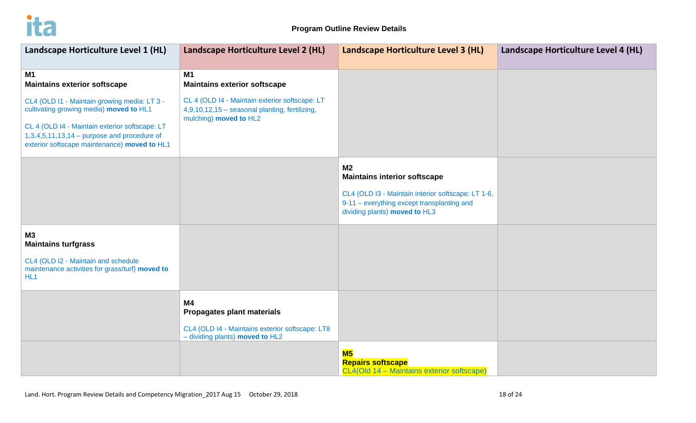

| Landscape Horticulture Level 1 (HL)                                                                                                                                                                                                        | Landscape Horticulture Level 2 (HL)                                                                                           | Landscape Horticulture Level 3 (HL)                                                                                                                                                        | Landscape Horticulture Level 4 (HL) |
|--------------------------------------------------------------------------------------------------------------------------------------------------------------------------------------------------------------------------------------------|-------------------------------------------------------------------------------------------------------------------------------|--------------------------------------------------------------------------------------------------------------------------------------------------------------------------------------------|-------------------------------------|
| <b>M1</b><br><b>Maintains exterior softscape</b>                                                                                                                                                                                           | M1<br><b>Maintains exterior softscape</b>                                                                                     |                                                                                                                                                                                            |                                     |
| CL4 (OLD I1 - Maintain growing media: LT 3 -<br>cultivating growing media) moved to HL1<br>CL 4 (OLD I4 - Maintain exterior softscape: LT<br>$1,3,4,5,11,13,14$ – purpose and procedure of<br>exterior softscape maintenance) moved to HL1 | CL 4 (OLD I4 - Maintain exterior softscape: LT<br>4,9,10,12,15 - seasonal planting, fertilizing,<br>mulching) moved to HL2    |                                                                                                                                                                                            |                                     |
|                                                                                                                                                                                                                                            |                                                                                                                               | M <sub>2</sub><br><b>Maintains interior softscape</b><br>CL4 (OLD I3 - Maintain interior softscape: LT 1-6,<br>9-11 - everything except transplanting and<br>dividing plants) moved to HL3 |                                     |
| <b>M3</b><br><b>Maintains turfgrass</b>                                                                                                                                                                                                    |                                                                                                                               |                                                                                                                                                                                            |                                     |
| CL4 (OLD I2 - Maintain and schedule<br>maintenance activities for grass/turf) moved to<br>HL <sub>1</sub>                                                                                                                                  |                                                                                                                               |                                                                                                                                                                                            |                                     |
|                                                                                                                                                                                                                                            | <b>M4</b><br>Propagates plant materials<br>CL4 (OLD I4 - Maintains exterior softscape: LT8<br>- dividing plants) moved to HL2 |                                                                                                                                                                                            |                                     |
|                                                                                                                                                                                                                                            |                                                                                                                               | M <sub>5</sub><br><b>Repairs softscape</b><br>CL4(Old 14 - Maintains exterior softscape)                                                                                                   |                                     |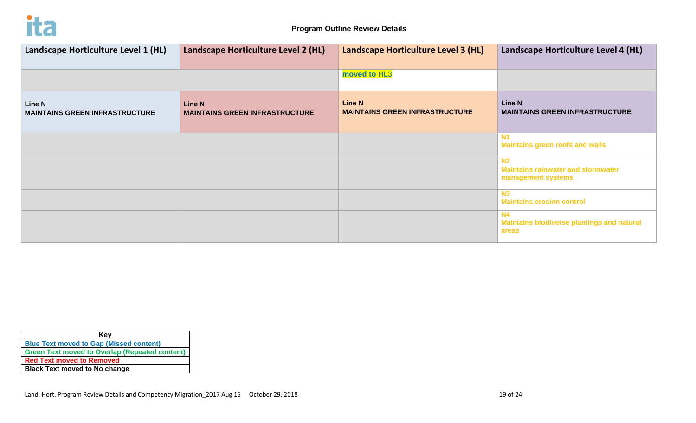

| Landscape Horticulture Level 1 (HL)                    | Landscape Horticulture Level 2 (HL)                    | Landscape Horticulture Level 3 (HL)                    | Landscape Horticulture Level 4 (HL)                                               |
|--------------------------------------------------------|--------------------------------------------------------|--------------------------------------------------------|-----------------------------------------------------------------------------------|
|                                                        |                                                        | moved to HL3                                           |                                                                                   |
| <b>Line N</b><br><b>MAINTAINS GREEN INFRASTRUCTURE</b> | <b>Line N</b><br><b>MAINTAINS GREEN INFRASTRUCTURE</b> | <b>Line N</b><br><b>MAINTAINS GREEN INFRASTRUCTURE</b> | <b>Line N</b><br><b>MAINTAINS GREEN INFRASTRUCTURE</b>                            |
|                                                        |                                                        |                                                        | <b>Maintains green roofs and walls</b>                                            |
|                                                        |                                                        |                                                        | N <sub>2</sub><br><b>Maintains rainwater and stormwater</b><br>management systems |
|                                                        |                                                        |                                                        | N3<br><b>Maintains erosion control</b>                                            |
|                                                        |                                                        |                                                        | <b>N4</b><br><b>Maintains biodiverse plantings and natural</b><br>areas           |

| Key                                                   |  |  |
|-------------------------------------------------------|--|--|
| <b>Blue Text moved to Gap (Missed content)</b>        |  |  |
| <b>Green Text moved to Overlap (Repeated content)</b> |  |  |
| <b>Red Text moved to Removed</b>                      |  |  |
| <b>Black Text moved to No change</b>                  |  |  |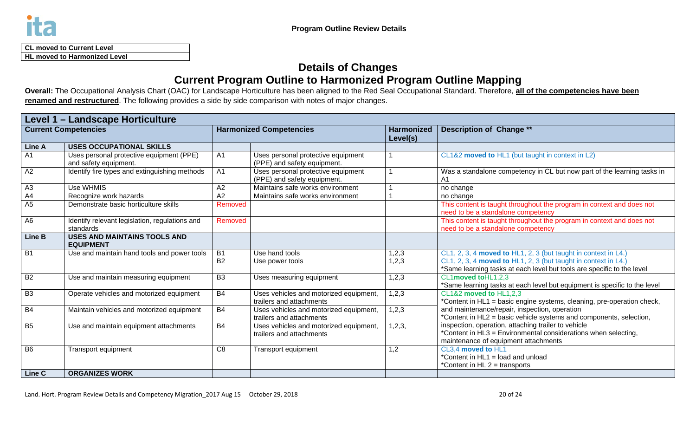

| <b>CL moved to Current Level</b>    |  |
|-------------------------------------|--|
| <b>HL moved to Harmonized Level</b> |  |

# **Details of Changes Current Program Outline to Harmonized Program Outline Mapping**

**Overall:** The Occupational Analysis Chart (OAC) for Landscape Horticulture has been aligned to the Red Seal Occupational Standard. Therefore, **all of the competencies have been renamed and restructured**. The following provides a side by side comparison with notes of major changes.

| <b>Level 1 - Landscape Horticulture</b> |                                                                   |                        |                                                                    |                               |                                                                                                                                                                                                            |
|-----------------------------------------|-------------------------------------------------------------------|------------------------|--------------------------------------------------------------------|-------------------------------|------------------------------------------------------------------------------------------------------------------------------------------------------------------------------------------------------------|
| <b>Current Competencies</b>             |                                                                   |                        | <b>Harmonized Competencies</b>                                     | <b>Harmonized</b><br>Level(s) | <b>Description of Change **</b>                                                                                                                                                                            |
| <b>Line A</b>                           | <b>USES OCCUPATIONAL SKILLS</b>                                   |                        |                                                                    |                               |                                                                                                                                                                                                            |
| $\overline{A1}$                         | Uses personal protective equipment (PPE)<br>and safety equipment. | A <sub>1</sub>         | Uses personal protective equipment<br>(PPE) and safety equipment.  |                               | CL1&2 moved to HL1 (but taught in context in L2)                                                                                                                                                           |
| $\overline{A2}$                         | Identify fire types and extinguishing methods                     | $\overline{A1}$        | Uses personal protective equipment<br>(PPE) and safety equipment.  |                               | Was a standalone competency in CL but now part of the learning tasks in<br>A1                                                                                                                              |
| A <sub>3</sub>                          | Use WHMIS                                                         | A2                     | Maintains safe works environment                                   |                               | no change                                                                                                                                                                                                  |
| A4                                      | Recognize work hazards                                            | A2                     | Maintains safe works environment                                   |                               | no change                                                                                                                                                                                                  |
| A <sub>5</sub>                          | Demonstrate basic horticulture skills                             | Removed                |                                                                    |                               | This content is taught throughout the program in context and does not<br>need to be a standalone competency                                                                                                |
| A <sub>6</sub>                          | Identify relevant legislation, regulations and<br>standards       | Removed                |                                                                    |                               | This content is taught throughout the program in context and does not<br>need to be a standalone competency                                                                                                |
| <b>Line B</b>                           | <b>USES AND MAINTAINS TOOLS AND</b><br><b>EQUIPMENT</b>           |                        |                                                                    |                               |                                                                                                                                                                                                            |
| $\overline{B1}$                         | Use and maintain hand tools and power tools                       | <b>B1</b><br><b>B2</b> | Use hand tools<br>Use power tools                                  | 1, 2, 3<br>1, 2, 3            | CL1, 2, 3, 4 moved to HL1, 2, 3 (but taught in context in L4.)<br>CL1, 2, 3, 4 moved to HL1, 2, 3 (but taught in context in L4.)<br>*Same learning tasks at each level but tools are specific to the level |
| B2                                      | Use and maintain measuring equipment                              | B <sub>3</sub>         | Uses measuring equipment                                           | 1,2,3                         | CL1moved toHL1,2,3<br>*Same learning tasks at each level but equipment is specific to the level                                                                                                            |
| B3                                      | Operate vehicles and motorized equipment                          | <b>B4</b>              | Uses vehicles and motorized equipment,<br>trailers and attachments | 1,2,3                         | CL1&2 moved to HL1,2,3<br>*Content in HL1 = basic engine systems, cleaning, pre-operation check,                                                                                                           |
| B4                                      | Maintain vehicles and motorized equipment                         | <b>B4</b>              | Uses vehicles and motorized equipment,<br>trailers and attachments | 1, 2, 3                       | and maintenance/repair, inspection, operation<br>*Content in HL2 = basic vehicle systems and components, selection,                                                                                        |
| B5                                      | Use and maintain equipment attachments                            | <b>B4</b>              | Uses vehicles and motorized equipment,<br>trailers and attachments | 1, 2, 3,                      | inspection, operation, attaching trailer to vehicle<br>*Content in HL3 = Environmental considerations when selecting,<br>maintenance of equipment attachments                                              |
| B <sub>6</sub>                          | Transport equipment                                               | C <sub>8</sub>         | Transport equipment                                                | 1,2                           | CL3,4 moved to HL1<br>*Content in HL1 = load and unload<br>*Content in HL 2 = transports                                                                                                                   |
| Line C                                  | <b>ORGANIZES WORK</b>                                             |                        |                                                                    |                               |                                                                                                                                                                                                            |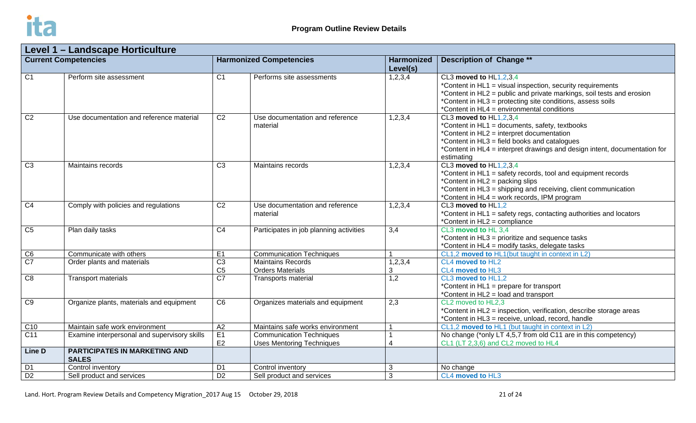

| Level 1 - Landscape Horticulture |                                                      |                                   |                                                                     |                               |                                                                                                                                                                                                                                                                           |  |
|----------------------------------|------------------------------------------------------|-----------------------------------|---------------------------------------------------------------------|-------------------------------|---------------------------------------------------------------------------------------------------------------------------------------------------------------------------------------------------------------------------------------------------------------------------|--|
| <b>Current Competencies</b>      |                                                      | <b>Harmonized Competencies</b>    |                                                                     | <b>Harmonized</b><br>Level(s) | <b>Description of Change **</b>                                                                                                                                                                                                                                           |  |
| $\overline{C1}$                  | Perform site assessment                              | $\overline{C1}$                   | Performs site assessments                                           | 1,2,3,4                       | CL3 moved to HL1,2,3,4<br>*Content in HL1 = visual inspection, security requirements<br>*Content in HL2 = public and private markings, soil tests and erosion<br>*Content in HL3 = protecting site conditions, assess soils<br>*Content in HL4 = environmental conditions |  |
| C <sub>2</sub>                   | Use documentation and reference material             | C <sub>2</sub>                    | Use documentation and reference<br>material                         | 1,2,3,4                       | CL3 moved to HL1,2,3,4<br>*Content in HL1 = documents, safety, textbooks<br>*Content in HL2 = interpret documentation<br>*Content in HL3 = field books and catalogues<br>*Content in HL4 = interpret drawings and design intent, documentation for<br>estimating          |  |
| $\overline{C3}$                  | Maintains records                                    | $\overline{C3}$                   | Maintains records                                                   | 1,2,3,4                       | CL3 moved to HL1,2,3,4<br>*Content in HL1 = safety records, tool and equipment records<br>*Content in HL2 = packing slips<br>*Content in HL3 = shipping and receiving, client communication<br>*Content in HL4 = work records, IPM program                                |  |
| $\overline{C4}$                  | Comply with policies and regulations                 | C <sub>2</sub>                    | Use documentation and reference<br>material                         | 1,2,3,4                       | CL3 moved to HL1,2<br>*Content in HL1 = safety regs, contacting authorities and locators<br>*Content in HL2 = compliance                                                                                                                                                  |  |
| $\overline{C5}$                  | Plan daily tasks                                     | $\overline{C4}$                   | Participates in job planning activities                             | 3,4                           | CL3 moved to HL 3.4<br>*Content in HL3 = prioritize and sequence tasks<br>*Content in HL4 = modify tasks, delegate tasks                                                                                                                                                  |  |
| $\overline{C6}$                  | Communicate with others                              | E1                                | <b>Communication Techniques</b>                                     | 1                             | CL1,2 moved to HL1(but taught in context in L2)                                                                                                                                                                                                                           |  |
| $\overline{C7}$                  | Order plants and materials                           | $\overline{C3}$<br>C <sub>5</sub> | <b>Maintains Records</b><br><b>Orders Materials</b>                 | 1,2,3,4<br>3                  | CL4 moved to HL2<br>CL4 moved to HL3                                                                                                                                                                                                                                      |  |
| $\overline{C8}$                  | <b>Transport materials</b>                           | $\overline{C7}$                   | <b>Transports material</b>                                          | 1,2                           | CL3 moved to HL1,2<br>*Content in HL1 = prepare for transport<br>*Content in HL2 = load and transport                                                                                                                                                                     |  |
| C9                               | Organize plants, materials and equipment             | $\overline{C6}$                   | Organizes materials and equipment                                   | 2,3                           | CL2 moved to HL2,3<br>*Content in HL2 = inspection, verification, describe storage areas<br>*Content in HL3 = receive, unload, record, handle                                                                                                                             |  |
| C10                              | Maintain safe work environment                       | A2                                | Maintains safe works environment                                    | $\overline{\mathbf{1}}$       | CL1,2 moved to HL1 (but taught in context in L2)                                                                                                                                                                                                                          |  |
| $\overline{C11}$                 | Examine interpersonal and supervisory skills         | E1<br>E <sub>2</sub>              | <b>Communication Techniques</b><br><b>Uses Mentoring Techniques</b> | $\overline{4}$                | No change (*only LT 4,5,7 from old C11 are in this competency)<br>CL1 (LT 2,3,6) and CL2 moved to HL4                                                                                                                                                                     |  |
| Line D                           | <b>PARTICIPATES IN MARKETING AND</b><br><b>SALES</b> |                                   |                                                                     |                               |                                                                                                                                                                                                                                                                           |  |
| D <sub>1</sub>                   | Control inventory                                    | D <sub>1</sub>                    | Control inventory                                                   | $\mathbf{3}$                  | No change                                                                                                                                                                                                                                                                 |  |
| $\overline{D2}$                  | Sell product and services                            | $\overline{D2}$                   | Sell product and services                                           | 3                             | CL4 moved to HL3                                                                                                                                                                                                                                                          |  |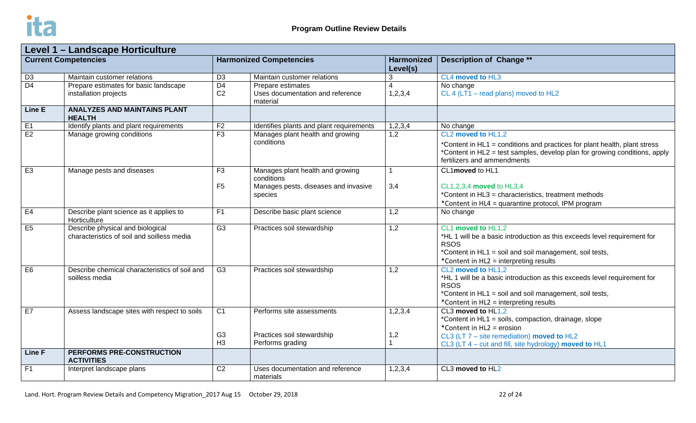

| Level 1 - Landscape Horticulture |                                                                                |                                                    |                                                                                                   |                               |                                                                                                                                                                                                                    |  |
|----------------------------------|--------------------------------------------------------------------------------|----------------------------------------------------|---------------------------------------------------------------------------------------------------|-------------------------------|--------------------------------------------------------------------------------------------------------------------------------------------------------------------------------------------------------------------|--|
| <b>Current Competencies</b>      |                                                                                | <b>Harmonized Competencies</b>                     |                                                                                                   | <b>Harmonized</b><br>Level(s) | <b>Description of Change **</b>                                                                                                                                                                                    |  |
| $\overline{D3}$                  | Maintain customer relations                                                    | $\overline{D3}$                                    | Maintain customer relations                                                                       | 3                             | CL4 moved to HL3                                                                                                                                                                                                   |  |
| $\overline{D4}$                  | Prepare estimates for basic landscape<br>installation projects                 | $\overline{D4}$<br>C <sub>2</sub>                  | Prepare estimates<br>Uses documentation and reference<br>material                                 | $\overline{4}$<br>1,2,3,4     | No change<br>CL 4 (LT1 - read plans) moved to HL2                                                                                                                                                                  |  |
| Line E                           | <b>ANALYZES AND MAINTAINS PLANT</b><br><b>HEALTH</b>                           |                                                    |                                                                                                   |                               |                                                                                                                                                                                                                    |  |
| E1                               | Identify plants and plant requirements                                         | F <sub>2</sub>                                     | Identifies plants and plant requirements                                                          | 1,2,3,4                       | No change                                                                                                                                                                                                          |  |
| E2                               | Manage growing conditions                                                      | F3                                                 | Manages plant health and growing<br>conditions                                                    | 1,2                           | CL2 moved to HL1,2<br>*Content in HL1 = conditions and practices for plant health, plant stress<br>*Content in HL2 = test samples, develop plan for growing conditions, apply<br>fertilizers and ammendments       |  |
| E3                               | Manage pests and diseases                                                      | F3<br>F <sub>5</sub>                               | Manages plant health and growing<br>conditions<br>Manages pests, diseases and invasive<br>species | 1<br>3,4                      | CL1moved to HL1<br>CL1,2,3,4 moved to HL3,4<br>*Content in HL3 = characteristics, treatment methods<br>*Content in HL4 = quarantine protocol, IPM program                                                          |  |
| E4                               | Describe plant science as it applies to<br>Horticulture                        | F <sub>1</sub>                                     | Describe basic plant science                                                                      | 1,2                           | No change                                                                                                                                                                                                          |  |
| E5                               | Describe physical and biological<br>characteristics of soil and soilless media | $\overline{G3}$                                    | Practices soil stewardship                                                                        | 1,2                           | CL1 moved to HL1,2<br>*HL 1 will be a basic introduction as this exceeds level requirement for<br><b>RSOS</b><br>*Content in HL1 = soil and soil management, soil tests,<br>*Content in HL2 = interpreting results |  |
| E6                               | Describe chemical characteristics of soil and<br>soilless media                | G <sub>3</sub>                                     | Practices soil stewardship                                                                        | 1,2                           | CL2 moved to HL1,2<br>*HL 1 will be a basic introduction as this exceeds level requirement for<br><b>RSOS</b><br>*Content in HL1 = soil and soil management, soil tests,<br>*Content in HL2 = interpreting results |  |
| E7                               | Assess landscape sites with respect to soils                                   | C <sub>1</sub><br>G <sub>3</sub><br>H <sub>3</sub> | Performs site assessments<br>Practices soil stewardship<br>Performs grading                       | 1, 2, 3, 4<br>1,2<br>1        | CL3 moved to HL1,2<br>*Content in HL1 = soils, compaction, drainage, slope<br>*Content in HL2 = erosion<br>CL3 (LT $7$ – site remediation) moved to HL2<br>CL3 (LT 4 – cut and fill, site hydrology) moved to HL1  |  |
| <b>Line F</b>                    | PERFORMS PRE-CONSTRUCTION<br><b>ACTIVITIES</b>                                 |                                                    |                                                                                                   |                               |                                                                                                                                                                                                                    |  |
| F1                               | Interpret landscape plans                                                      | $\overline{C2}$                                    | Uses documentation and reference<br>materials                                                     | 1,2,3,4                       | CL3 moved to HL2                                                                                                                                                                                                   |  |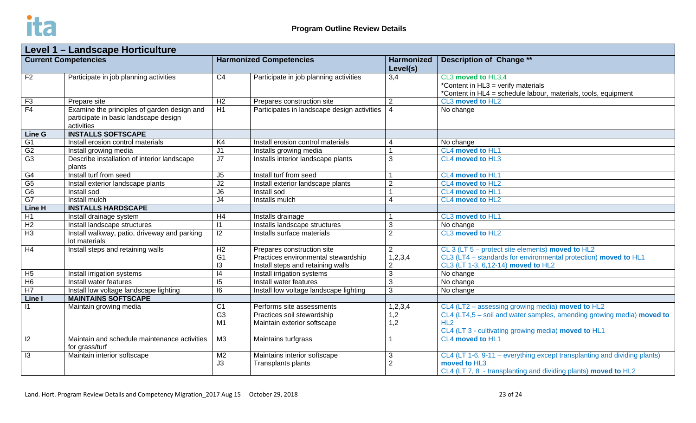

| Level 1 - Landscape Horticulture |                                                                                                    |                                |                                             |                               |                                                                                                                            |  |
|----------------------------------|----------------------------------------------------------------------------------------------------|--------------------------------|---------------------------------------------|-------------------------------|----------------------------------------------------------------------------------------------------------------------------|--|
| <b>Current Competencies</b>      |                                                                                                    | <b>Harmonized Competencies</b> |                                             | <b>Harmonized</b><br>Level(s) | <b>Description of Change **</b>                                                                                            |  |
| F <sub>2</sub>                   | Participate in job planning activities                                                             | C <sub>4</sub>                 | Participate in job planning activities      | 3,4                           | CL3 moved to HL3,4<br>*Content in HL3 = verify materials<br>*Content in HL4 = schedule labour, materials, tools, equipment |  |
| F3                               | Prepare site                                                                                       | H <sub>2</sub>                 | Prepares construction site                  | 2                             | CL3 moved to HL2                                                                                                           |  |
| F4                               | Examine the principles of garden design and<br>participate in basic landscape design<br>activities | H1                             | Participates in landscape design activities | $\overline{4}$                | No change                                                                                                                  |  |
| Line G                           | <b>INSTALLS SOFTSCAPE</b>                                                                          |                                |                                             |                               |                                                                                                                            |  |
| G <sub>1</sub>                   | Install erosion control materials                                                                  | K4                             | Install erosion control materials           | 4                             | No change                                                                                                                  |  |
| G2                               | Install growing media                                                                              | J <sub>1</sub>                 | Installs growing media                      | $\overline{1}$                | CL4 moved to HL1                                                                                                           |  |
| G3                               | Describe installation of interior landscape<br>plants                                              | J7                             | Installs interior landscape plants          | 3                             | CL4 moved to HL3                                                                                                           |  |
| G <sub>4</sub>                   | Install turf from seed                                                                             | J <sub>5</sub>                 | Install turf from seed                      |                               | CL4 moved to HL1                                                                                                           |  |
| G5                               | Install exterior landscape plants                                                                  | J2                             | Install exterior landscape plants           | $\overline{2}$                | CL4 moved to HL2                                                                                                           |  |
| G6                               | Install sod                                                                                        | $\overline{\mathsf{J6}}$       | Install sod                                 | $\mathbf{1}$                  | CL4 moved to HL1                                                                                                           |  |
| G7                               | Install mulch                                                                                      | J <sub>4</sub>                 | Installs mulch                              | $\overline{4}$                | CL4 moved to HL2                                                                                                           |  |
| Line H                           | <b>INSTALLS HARDSCAPE</b>                                                                          |                                |                                             |                               |                                                                                                                            |  |
| H1                               | Install drainage system                                                                            | H4                             | Installs drainage                           |                               | CL3 moved to HL1                                                                                                           |  |
| H <sub>2</sub>                   | Install landscape structures                                                                       | $\vert$ 1                      | Installs landscape structures               | 3                             | No change                                                                                                                  |  |
| H <sub>3</sub>                   | Install walkway, patio, driveway and parking<br>lot materials                                      | 12                             | Installs surface materials                  | $\overline{2}$                | CL3 moved to HL2                                                                                                           |  |
| H4                               | Install steps and retaining walls                                                                  | H2                             | Prepares construction site                  | $\overline{2}$                | CL 3 (LT 5 – protect site elements) moved to HL2                                                                           |  |
|                                  |                                                                                                    | G <sub>1</sub>                 | Practices environmental stewardship         | 1,2,3,4                       | CL3 (LT4 - standards for environmental protection) moved to HL1                                                            |  |
|                                  |                                                                                                    | 13                             | Install steps and retaining walls           | $\overline{2}$                | CL3 (LT 1-3, 6, 12-14) moved to HL2                                                                                        |  |
| H <sub>5</sub>                   | Install irrigation systems                                                                         | $\overline{14}$                | <b>Install irrigation systems</b>           | $\mathbf{3}$                  | No change                                                                                                                  |  |
| H6                               | Install water features                                                                             | $\overline{5}$                 | Install water features                      | 3                             | No change                                                                                                                  |  |
| H7                               | Install low voltage landscape lighting                                                             | 16                             | Install low voltage landscape lighting      | 3                             | No change                                                                                                                  |  |
| Line I                           | <b>MAINTAINS SOFTSCAPE</b>                                                                         |                                |                                             |                               |                                                                                                                            |  |
| $\overline{11}$                  | Maintain growing media                                                                             | $\overline{C1}$                | Performs site assessments                   | 1,2,3,4                       | CL4 (LT2 - assessing growing media) moved to HL2                                                                           |  |
|                                  |                                                                                                    | G <sub>3</sub>                 | Practices soil stewardship                  | 1,2                           | CL4 (LT4,5 - soil and water samples, amending growing media) moved to                                                      |  |
|                                  |                                                                                                    | M1                             | Maintain exterior softscape                 | 1,2                           | HL2                                                                                                                        |  |
| $\overline{12}$                  | Maintain and schedule maintenance activities                                                       | M3                             |                                             | 1                             | CL4 (LT 3 - cultivating growing media) moved to HL1<br>CL4 moved to HL1                                                    |  |
|                                  | for grass/turf                                                                                     |                                | Maintains turfgrass                         |                               |                                                                                                                            |  |
| $\overline{13}$                  | Maintain interior softscape                                                                        | M <sub>2</sub>                 | Maintains interior softscape                | $\mathbf{3}$                  | CL4 (LT 1-6, 9-11 – everything except transplanting and dividing plants)                                                   |  |
|                                  |                                                                                                    | J3                             | Transplants plants                          | $\overline{2}$                | moved to HL3                                                                                                               |  |
|                                  |                                                                                                    |                                |                                             |                               | CL4 (LT 7, 8 - transplanting and dividing plants) moved to HL2                                                             |  |